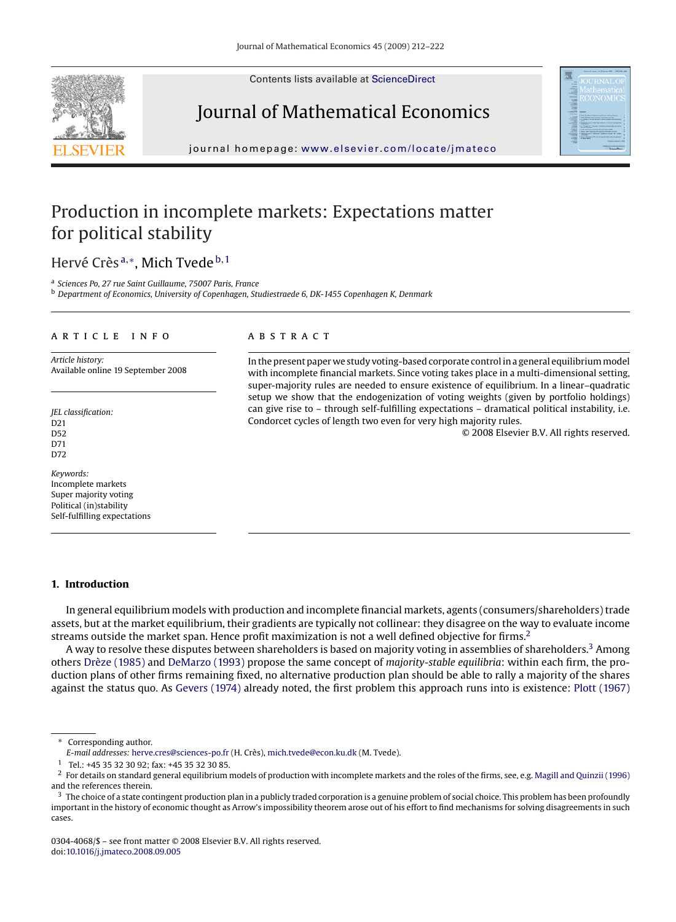Contents lists available at [ScienceDirect](http://www.sciencedirect.com/science/journal/03044068)







journal homepage: [www.elsevier.com/locate/jmateco](http://www.elsevier.com/locate/jmateco)

## Production in incomplete markets: Expectations matter for political stability

### Hervé Crès<sup>a,∗</sup>, Mich Tvede<sup>b,1</sup>

<sup>a</sup> *Sciences Po, 27 rue Saint Guillaume, 75007 Paris, France*

<sup>b</sup> *Department of Economics, University of Copenhagen, Studiestraede 6, DK-1455 Copenhagen K, Denmark*

#### article info

*Article history:* Available online 19 September 2008

*JEL classification:* D21 D52 D71 D72

*Keywords:* Incomplete markets Super majority voting Political (in)stability Self-fulfilling expectations

#### **ABSTRACT**

In the present paper we study voting-based corporate control in a general equilibriummodel with incomplete financial markets. Since voting takes place in a multi-dimensional setting, super-majority rules are needed to ensure existence of equilibrium. In a linear–quadratic setup we show that the endogenization of voting weights (given by portfolio holdings) can give rise to – through self-fulfilling expectations – dramatical political instability, i.e. Condorcet cycles of length two even for very high majority rules.

© 2008 Elsevier B.V. All rights reserved.

#### **1. Introduction**

In general equilibrium models with production and incomplete financial markets, agents (consumers/shareholders) trade assets, but at the market equilibrium, their gradients are typically not collinear: they disagree on the way to evaluate income streams outside the market span. Hence profit maximization is not a well defined objective for firms.2

A way to resolve these disputes between shareholders is based on majority voting in assemblies of shareholders.<sup>3</sup> Among others [Drèze \(1985\)](#page--1-0) and [DeMarzo \(1993\)](#page--1-0) propose the same concept of *majority-stable equilibria*: within each firm, the production plans of other firms remaining fixed, no alternative production plan should be able to rally a majority of the shares against the status quo. As [Gevers \(1974\)](#page--1-0) already noted, the first problem this approach runs into is existence: [Plott \(1967\)](#page--1-0)

∗ Corresponding author.

0304-4068/\$ – see front matter © 2008 Elsevier B.V. All rights reserved. doi[:10.1016/j.jmateco.2008.09.005](dx.doi.org/10.1016/j.jmateco.2008.09.005)

*E-mail addresses:* [herve.cres@sciences-po.fr](mailto:herve.cres@sciences-po.fr) (H. Crès), [mich.tvede@econ.ku.dk](mailto:mich.tvede@econ.ku.dk) (M. Tvede).

<sup>1</sup> Tel.: +45 35 32 30 92; fax: +45 35 32 30 85.

 $^2$  For details on standard general equilibrium models of production with incomplete markets and the roles of the firms, see, e.g. [Magill and Quinzii \(1996\)](#page--1-0) and the references therein.

 $3\,$  The choice of a state contingent production plan in a publicly traded corporation is a genuine problem of social choice. This problem has been profoundly important in the history of economic thought as Arrow's impossibility theorem arose out of his effort to find mechanisms for solving disagreements in such cases.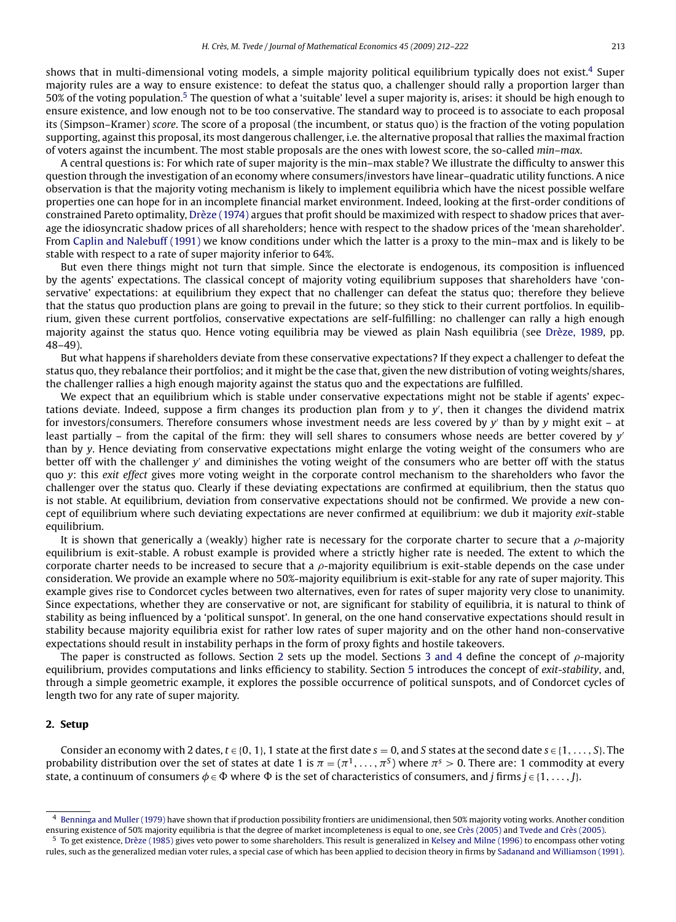shows that in multi-dimensional voting models, a simple majority political equilibrium typically does not exist.4 Super majority rules are a way to ensure existence: to defeat the status quo, a challenger should rally a proportion larger than 50% of the voting population.5 The question of what a 'suitable' level a super majority is, arises: it should be high enough to ensure existence, and low enough not to be too conservative. The standard way to proceed is to associate to each proposal its (Simpson–Kramer) *score*. The score of a proposal (the incumbent, or status quo) is the fraction of the voting population supporting, against this proposal, its most dangerous challenger, i.e. the alternative proposal that rallies the maximal fraction of voters against the incumbent. The most stable proposals are the ones with lowest score, the so-called *min–max*.

A central questions is: For which rate of super majority is the min–max stable? We illustrate the difficulty to answer this question through the investigation of an economy where consumers/investors have linear–quadratic utility functions. A nice observation is that the majority voting mechanism is likely to implement equilibria which have the nicest possible welfare properties one can hope for in an incomplete financial market environment. Indeed, looking at the first-order conditions of constrained Pareto optimality, [Drèze \(1974\)](#page--1-0) argues that profit should be maximized with respect to shadow prices that average the idiosyncratic shadow prices of all shareholders; hence with respect to the shadow prices of the 'mean shareholder'. From [Caplin and Nalebuff \(1991\)](#page--1-0) we know conditions under which the latter is a proxy to the min–max and is likely to be stable with respect to a rate of super majority inferior to 64%.

But even there things might not turn that simple. Since the electorate is endogenous, its composition is influenced by the agents' expectations. The classical concept of majority voting equilibrium supposes that shareholders have 'conservative' expectations: at equilibrium they expect that no challenger can defeat the status quo; therefore they believe that the status quo production plans are going to prevail in the future; so they stick to their current portfolios. In equilibrium, given these current portfolios, conservative expectations are self-fulfilling: no challenger can rally a high enough majority against the status quo. Hence voting equilibria may be viewed as plain Nash equilibria (see [Drèze, 1989,](#page--1-0) pp. 48–49).

But what happens if shareholders deviate from these conservative expectations? If they expect a challenger to defeat the status quo, they rebalance their portfolios; and it might be the case that, given the new distribution of voting weights/shares, the challenger rallies a high enough majority against the status quo and the expectations are fulfilled.

We expect that an equilibrium which is stable under conservative expectations might not be stable if agents' expectations deviate. Indeed, suppose a firm changes its production plan from *y* to *y* , then it changes the dividend matrix for investors/consumers. Therefore consumers whose investment needs are less covered by *y* than by *y* might exit – at least partially – from the capital of the firm: they will sell shares to consumers whose needs are better covered by *y* than by *y*. Hence deviating from conservative expectations might enlarge the voting weight of the consumers who are better off with the challenger *y* and diminishes the voting weight of the consumers who are better off with the status quo *y*: this *exit effect* gives more voting weight in the corporate control mechanism to the shareholders who favor the challenger over the status quo. Clearly if these deviating expectations are confirmed at equilibrium, then the status quo is not stable. At equilibrium, deviation from conservative expectations should not be confirmed. We provide a new concept of equilibrium where such deviating expectations are never confirmed at equilibrium: we dub it majority *exit*-stable equilibrium.

It is shown that generically a (weakly) higher rate is necessary for the corporate charter to secure that a  $\rho$ -majority equilibrium is exit-stable. A robust example is provided where a strictly higher rate is needed. The extent to which the corporate charter needs to be increased to secure that a  $\rho$ -majority equilibrium is exit-stable depends on the case under consideration. We provide an example where no 50%-majority equilibrium is exit-stable for any rate of super majority. This example gives rise to Condorcet cycles between two alternatives, even for rates of super majority very close to unanimity. Since expectations, whether they are conservative or not, are significant for stability of equilibria, it is natural to think of stability as being influenced by a 'political sunspot'. In general, on the one hand conservative expectations should result in stability because majority equilibria exist for rather low rates of super majority and on the other hand non-conservative expectations should result in instability perhaps in the form of proxy fights and hostile takeovers.

The paper is constructed as follows. Section 2 sets up the model. Sections [3 and 4](#page--1-0) define the concept of  $\rho$ -majority equilibrium, provides computations and links efficiency to stability. Section [5](#page--1-0) introduces the concept of *exit-stability*, and, through a simple geometric example, it explores the possible occurrence of political sunspots, and of Condorcet cycles of length two for any rate of super majority.

#### **2. Setup**

Consider an economy with 2 dates,  $t \in \{0, 1\}$ , 1 state at the first date  $s = 0$ , and S states at the second date  $s \in \{1, \ldots, S\}$ . The probability distribution over the set of states at date 1 is  $\pi = (\pi^1, \ldots, \pi^S)$  where  $\pi^s > 0$ . There are: 1 commodity at every state, a continuum of consumers  $\phi \in \Phi$  where  $\Phi$  is the set of characteristics of consumers, and *j* firms  $j \in \{1, \ldots, J\}$ .

<sup>4</sup> [Benninga and Muller \(1979\)](#page--1-0) have shown that if production possibility frontiers are unidimensional, then 50% majority voting works. Another condition ensuring existence of 50% majority equilibria is that the degree of market incompleteness is equal to one, see [Crès \(2005\)](#page--1-0) and [Tvede and Crès \(2005\).](#page--1-0)

<sup>5</sup> To get existence, [Drèze \(1985\)](#page--1-0) gives veto power to some shareholders. This result is generalized in [Kelsey and Milne \(1996\)](#page--1-0) to encompass other voting rules, such as the generalized median voter rules, a special case of which has been applied to decision theory in firms by [Sadanand and Williamson \(1991\).](#page--1-0)